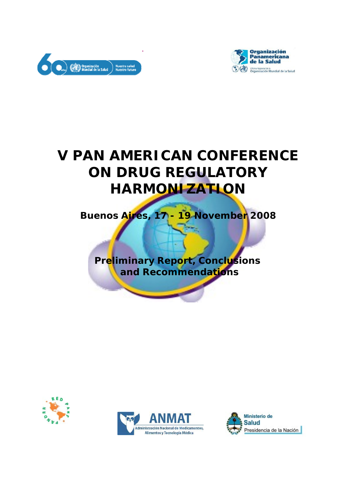



# **V PAN AMERICAN CONFERENCE ON DRUG REGULATORY HARMONIZATION**

**Buenos Aires, 17 - 19 November 2008**

**Preliminary Report, Conclusions and Recommendations**





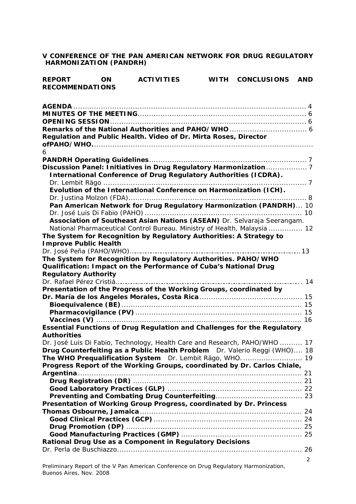**V CONFERENCE OF THE PAN AMERICAN NETWORK FOR DRUG REGULATORY HARMONIZATION (PANDRH)**

| <b>REPORT</b>          | <b>ON</b> | <b>ACTIVITIES</b> | WITH CONCLUSIONS | AND |
|------------------------|-----------|-------------------|------------------|-----|
| <b>RECOMMENDATIONS</b> |           |                   |                  |     |
|                        |           |                   |                  |     |

| Regulation and Public Health. Video of Dr. Mirta Roses, Director           |                       |
|----------------------------------------------------------------------------|-----------------------|
|                                                                            |                       |
| 6                                                                          |                       |
|                                                                            |                       |
|                                                                            |                       |
| <b>International Conference of Drug Regulatory Authorities (ICDRA).</b>    |                       |
|                                                                            |                       |
| Evolution of the International Conference on Harmonization (ICH).          |                       |
|                                                                            |                       |
| Pan American Network for Drug Regulatory Harmonization (PANDRH) 10         |                       |
|                                                                            |                       |
| Association of Southeast Asian Nations (ASEAN) Dr. Selvaraja Seerangam.    |                       |
| National Pharmaceutical Control Bureau. Ministry of Health, Malaysia  12   |                       |
| The System for Recognition by Regulatory Authorities: A Strategy to        |                       |
| <b>Improve Public Health</b>                                               |                       |
|                                                                            |                       |
| The System for Recognition by Regulatory Authorities. PAHO/WHO             |                       |
| Qualification: Impact on the Performance of Cuba's National Drug           |                       |
| <b>Regulatory Authority</b>                                                |                       |
|                                                                            |                       |
| Presentation of the Progress of the Working Groups, coordinated by         |                       |
|                                                                            |                       |
|                                                                            |                       |
|                                                                            |                       |
|                                                                            |                       |
| Essential Functions of Drug Regulation and Challenges for the Regulatory   |                       |
| <b>Authorities</b>                                                         |                       |
| Dr. José Luis Di Fabio, Technology, Health Care and Research, PAHO/WHO  17 |                       |
| Drug Counterfeiting as a Public Health Problem Dr. Valerio Reggi (WHO) 18  |                       |
|                                                                            |                       |
| Progress Report of the Working Groups, coordinated by Dr. Carlos Chiale,   |                       |
|                                                                            |                       |
|                                                                            |                       |
|                                                                            |                       |
| Presentation of Working Group Progress, coordinated by Dr. Princess        |                       |
|                                                                            |                       |
|                                                                            |                       |
|                                                                            |                       |
|                                                                            |                       |
| Rational Drug Use as a Component in Regulatory Decisions                   |                       |
|                                                                            |                       |
|                                                                            |                       |
|                                                                            | $\mathbf{2}^{\prime}$ |

Preliminary Report of the V Pan American Conference on Drug Regulatory Harmonization, Buenos Aires, Nov. 2008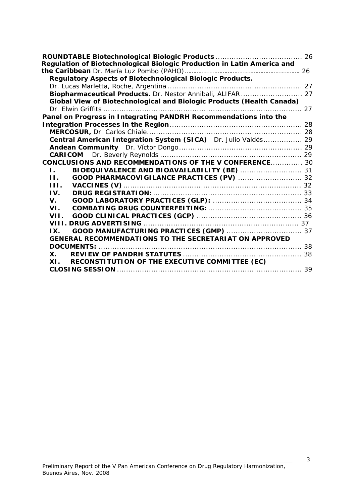| Regulation of Biotechnological Biologic Production in Latin America and |  |  |  |  |
|-------------------------------------------------------------------------|--|--|--|--|
|                                                                         |  |  |  |  |
| Regulatory Aspects of Biotechnological Biologic Products.               |  |  |  |  |
|                                                                         |  |  |  |  |
| Biopharmaceutical Products. Dr. Nestor Annibali, ALIFAR 27              |  |  |  |  |
| Global View of Biotechnological and Biologic Products (Health Canada)   |  |  |  |  |
|                                                                         |  |  |  |  |
| Panel on Progress in Integrating PANDRH Recommendations into the        |  |  |  |  |
|                                                                         |  |  |  |  |
|                                                                         |  |  |  |  |
| Central American Integration System (SICA) Dr. Julio Valdés 29          |  |  |  |  |
|                                                                         |  |  |  |  |
|                                                                         |  |  |  |  |
| <b>CONCLUSIONS AND RECOMMENDATIONS OF THE V CONFERENCE 30</b>           |  |  |  |  |
| BIOEQUIVALENCE AND BIOAVAILABILITY (BE)  31<br>La Car                   |  |  |  |  |
| Н.                                                                      |  |  |  |  |
| HL.                                                                     |  |  |  |  |
| IV.                                                                     |  |  |  |  |
| $V_{\perp}$                                                             |  |  |  |  |
| VL.                                                                     |  |  |  |  |
| VII.                                                                    |  |  |  |  |
|                                                                         |  |  |  |  |
| IX                                                                      |  |  |  |  |
| <b>GENERAL RECOMMENDATIONS TO THE SECRETARIAT ON APPROVED</b>           |  |  |  |  |
|                                                                         |  |  |  |  |
| X.                                                                      |  |  |  |  |
| RECONSTITUTION OF THE EXECUTIVE COMMITTEE (EC)<br>XI.                   |  |  |  |  |
|                                                                         |  |  |  |  |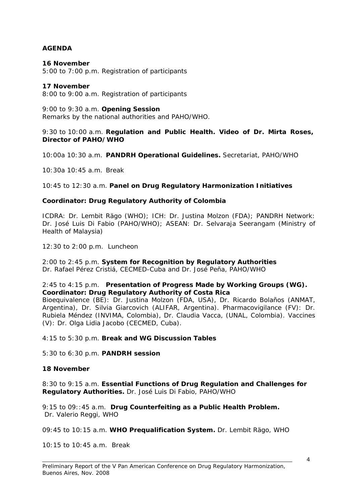## **AGENDA**

#### **16 November**

5:00 to 7:00 p.m. Registration of participants

#### **17 November**

8:00 to 9:00 a.m. Registration of participants

#### 9:00 to 9:30 a.m. **Opening Session**

Remarks by the national authorities and PAHO/WHO.

#### 9:30 to 10:00 a.m. **Regulation and Public Health. Video of Dr. Mirta Roses, Director of PAHO/WHO**

10:00a 10:30 a.m. **PANDRH Operational Guidelines.** Secretariat, PAHO/WHO

10:30a 10:45 a.m. *Break*

10:45 to 12:30 a.m. **Panel on Drug Regulatory Harmonization Initiatives**

## **Coordinator: Drug Regulatory Authority of Colombia**

ICDRA: Dr. Lembit Rägo (WHO); ICH: Dr. Justina Molzon (FDA); PANDRH Network: Dr. José Luis Di Fabio (PAHO/WHO); ASEAN: Dr. Selvaraja Seerangam (Ministry of Health of Malaysia)

12:30 to 2:00 p.m. *Luncheon*

2:00 to 2:45 p.m. **System for Recognition by Regulatory Authorities** Dr. Rafael Pérez Cristiá, CECMED-Cuba and Dr. José Peña, PAHO/WHO

#### 2:45 to 4:15 p.m. **Presentation of Progress Made by Working Groups (WG). Coordinator: Drug Regulatory Authority of Costa Rica**

Bioequivalence (BE): Dr. Justina Molzon (FDA, USA), Dr. Ricardo Bolaños (ANMAT, Argentina), Dr. Silvia Giarcovich (ALIFAR, Argentina). Pharmacovigilance (FV): Dr. Rubiela Méndez (INVIMA, Colombia), Dr. Claudia Vacca, (UNAL, Colombia). Vaccines (V): Dr. Olga Lidia Jacobo (CECMED, Cuba).

4:15 to 5:30 p.m. **Break and WG Discussion Tables**

5:30 to 6:30 p.m. **PANDRH session**

## **18 November**

8:30 to 9:15 a.m. **Essential Functions of Drug Regulation and Challenges for Regulatory Authorities.** Dr. José Luis Di Fabio, PAHO/WHO

9:15 to 09::45 a.m. **Drug Counterfeiting as a Public Health Problem.** Dr. Valerio Reggi, WHO

09:45 to 10:15 a.m. **WHO Prequalification System.** Dr. Lembit Rägo, WHO

10:15 to 10:45 a.m. *Break*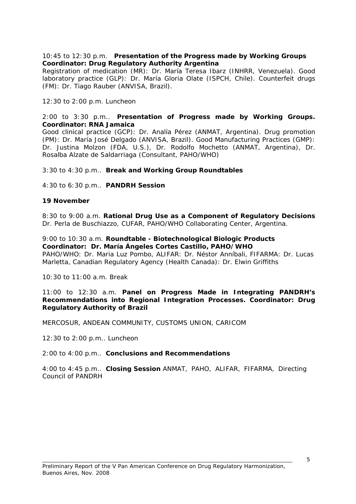#### 10:45 to 12:30 p.m. **Presentation of the Progress made by Working Groups Coordinator: Drug Regulatory Authority Argentina**

Registration of medication (MR): Dr. María Teresa Ibarz (INHRR, Venezuela). Good laboratory practice (GLP): Dr. María Gloria Olate (ISPCH, Chile). Counterfeit drugs (FM): Dr. Tiago Rauber (ANVISA, Brazil).

12:30 to 2:00 p.m. *Luncheon*

#### 2:00 to 3:30 p.m.. **Presentation of Progress made by Working Groups. Coordinator: RNA Jamaica**

Good clinical practice (GCP): Dr. Analía Pérez (ANMAT, Argentina). Drug promotion (PM): Dr. María José Delgado (ANVISA, Brazil). Good Manufacturing Practices (GMP): Dr. Justina Molzon (FDA, U.S.), Dr. Rodolfo Mochetto (ANMAT, Argentina), Dr. Rosalba Alzate de Saldarriaga (Consultant, PAHO/WHO)

## 3:30 to 4:30 p.m.. **Break and Working Group Roundtables**

4:30 to 6:30 p.m.. **PANDRH Session**

#### **19 November**

8:30 to 9:00 a.m. **Rational Drug Use as a Component of Regulatory Decisions**  Dr. Perla de Buschiazzo, CUFAR, PAHO/WHO Collaborating Center, Argentina.

9:00 to 10:30 a.m. **Roundtable - Biotechnological Biologic Products Coordinator: Dr. María Ángeles Cortes Castillo, PAHO/WHO** PAHO/WHO: Dr. Maria Luz Pombo, ALIFAR: Dr. Néstor Anníbali, FIFARMA: Dr. Lucas Marletta, Canadian Regulatory Agency (Health Canada): Dr. Elwin Griffiths

10:30 to 11:00 a.m. *Break*

#### 11:00 to 12:30 a.m. **Panel on Progress Made in Integrating PANDRH's Recommendations into Regional Integration Processes. Coordinator: Drug Regulatory Authority of Brazil**

MERCOSUR, ANDEAN COMMUNITY, CUSTOMS UNION, CARICOM

12:30 to 2:00 p.m.. *Luncheon*

2:00 to 4:00 p.m.. **Conclusions and Recommendations**

4:00 to 4:45 p.m.. **Closing Session** ANMAT, PAHO, ALIFAR, FIFARMA, Directing Council of PANDRH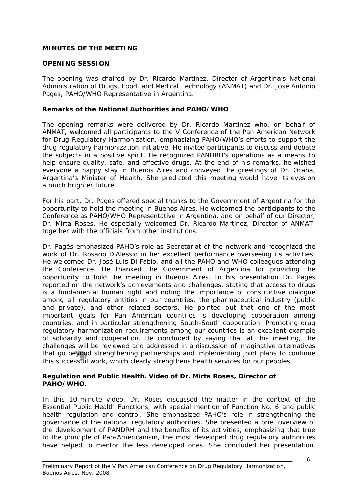## **MINUTES OF THE MEETING**

## **OPENING SESSION**

The opening was chaired by Dr. Ricardo Martínez, Director of Argentina's National Administration of Drugs, Food, and Medical Technology (ANMAT) and Dr. José Antonio Pages, PAHO/WHO Representative in Argentina.

## **Remarks of the National Authorities and PAHO/WHO**

The opening remarks were delivered by Dr. Ricardo Martínez who, on behalf of ANMAT, welcomed all participants to the V Conference of the Pan American Network for Drug Regulatory Harmonization, emphasizing PAHO/WHO's efforts to support the drug regulatory harmonization initiative. He invited participants to discuss and debate the subjects in a positive spirit. He recognized PANDRH's operations as a means to help ensure quality, safe, and effective drugs. At the end of his remarks, he wished everyone a happy stay in Buenos Aires and conveyed the greetings of Dr. Ocaña, Argentina's Minister of Health. She predicted this meeting would have its eyes on a much brighter future.

For his part, Dr. Pagés offered special thanks to the Government of Argentina for the opportunity to hold the meeting in Buenos Aires. He welcomed the participants to the Conference as PAHO/WHO Representative in Argentina, and on behalf of our Director, Dr. Mirta Roses. He especially welcomed Dr. Ricardo Martínez, Director of ANMAT, together with the officials from other institutions.

Dr. Pagés emphasized PAHO's role as Secretariat of the network and recognized the work of Dr. Rosario D'Alessio in her excellent performance overseeing its activities. He welcomed Dr. José Luis Di Fabio, and all the PAHO and WHO colleagues attending the Conference. He thanked the Government of Argentina for providing the opportunity to hold the meeting in Buenos Aires. In his presentation Dr. Pagés reported on the network's achievements and challenges, stating that access to drugs is a fundamental human right and noting the importance of constructive dialogue among all regulatory entities in our countries, the pharmaceutical industry (public and private), and other related sectors. He pointed out that one of the most important goals for Pan American countries is developing cooperation among countries, and in particular strengthening South-South cooperation. Promoting drug regulatory harmonization requirements among our countries is an excellent example of solidarity and cooperation. He concluded by saying that at this meeting, the challenges will be reviewed and addressed in a discussion of imaginative alternatives that go beyond strengthening partnerships and implementing joint plans to continue this successful work, which clearly strengthens health services for our peoples.

## **Regulation and Public Health. Video of Dr. Mirta Roses, Director of PAHO/WHO.**

In this 10-minute video, Dr. Roses discussed the matter in the context of the Essential Public Health Functions, with special mention of Function No. 6 and public health regulation and control. She emphasized PAHO's role in strengthening the governance of the national regulatory authorities. She presented a brief overview of the development of PANDRH and the benefits of its activities, emphasizing that true to the principle of Pan-Americanism, the most developed drug regulatory authorities have helped to mentor the less developed ones. She concluded her presentation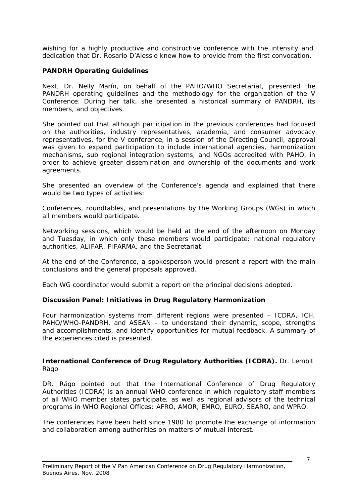wishing for a highly productive and constructive conference with the intensity and dedication that Dr. Rosario D'Alessio knew how to provide from the first convocation.

## **PANDRH Operating Guidelines**

Next, Dr. Nelly Marín, on behalf of the PAHO/WHO Secretariat, presented the PANDRH operating guidelines and the methodology for the organization of the V Conference. During her talk, she presented a historical summary of PANDRH, its members, and objectives.

She pointed out that although participation in the previous conferences had focused on the authorities, industry representatives, academia, and consumer advocacy representatives, for the V conference, in a session of the Directing Council, approval was given to expand participation to include international agencies, harmonization mechanisms, sub regional integration systems, and NGOs accredited with PAHO, in order to achieve greater dissemination and ownership of the documents and work agreements.

She presented an overview of the Conference's agenda and explained that there would be two types of activities:

Conferences, roundtables, and presentations by the Working Groups (WGs) in which all members would participate.

Networking sessions, which would be held at the end of the afternoon on Monday and Tuesday, in which only these members would participate: national regulatory authorities, ALIFAR, FIFARMA, and the Secretariat.

At the end of the Conference, a spokesperson would present a report with the main conclusions and the general proposals approved.

Each WG coordinator would submit a report on the principal decisions adopted.

#### **Discussion Panel: Initiatives in Drug Regulatory Harmonization**

Four harmonization systems from different regions were presented – ICDRA, ICH, PAHO/WHO-PANDRH, and ASEAN – to understand their dynamic, scope, strengths and accomplishments, and identify opportunities for mutual feedback. A summary of the experiences cited is presented.

#### **International Conference of Drug Regulatory Authorities (ICDRA).** Dr. Lembit Rägo

DR. Rägo pointed out that the International Conference of Drug Regulatory Authorities (ICDRA) is an annual WHO conference in which regulatory staff members of all WHO member states participate, as well as regional advisors of the technical programs in WHO Regional Offices: AFRO, AMOR, EMRO, EURO, SEARO, and WPRO.

The conferences have been held since 1980 to promote the exchange of information and collaboration among authorities on matters of mutual interest.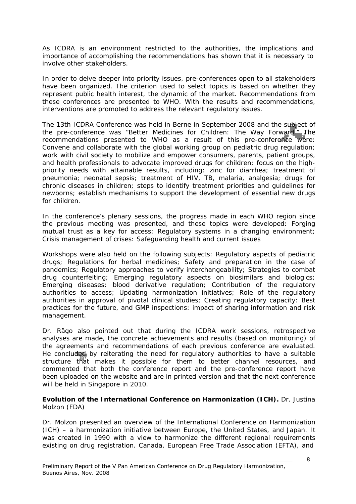As ICDRA is an environment restricted to the authorities, the implications and importance of accomplishing the recommendations has shown that it is necessary to involve other stakeholders.

In order to delve deeper into priority issues, pre-conferences open to all stakeholders have been organized. The criterion used to select topics is based on whether they represent public health interest, the dynamic of the market. Recommendations from these conferences are presented to WHO. With the results and recommendations, interventions are promoted to address the relevant regulatory issues.

The 13th ICDRA Conference was held in Berne in September 2008 and the subject of the pre-conference was "Better Medicines for Children: The Way Forward." The recommendations presented to WHO as a result of this pre-conference were: Convene and collaborate with the global working group on pediatric drug regulation; work with civil society to mobilize and empower consumers, parents, patient groups, and health professionals to advocate improved drugs for children; focus on the highpriority needs with attainable results, including: zinc for diarrhea; treatment of pneumonia; neonatal sepsis; treatment of HIV, TB, malaria, analgesia; drugs for chronic diseases in children; steps to identify treatment priorities and guidelines for newborns; establish mechanisms to support the development of essential new drugs for children.

In the conference's plenary sessions, the progress made in each WHO region since the previous meeting was presented, and these topics were developed: Forging mutual trust as a key for access; Regulatory systems in a changing environment; Crisis management of crises: Safeguarding health and current issues

Workshops were also held on the following subjects: Regulatory aspects of pediatric drugs; Regulations for herbal medicines; Safety and preparation in the case of pandemics; Regulatory approaches to verify interchangeability; Strategies to combat drug counterfeiting; Emerging regulatory aspects on biosimilars and biologics; Emerging diseases: blood derivative regulation; Contribution of the regulatory authorities to access; Updating harmonization initiatives; Role of the regulatory authorities in approval of pivotal clinical studies; Creating regulatory capacity: Best practices for the future, and GMP inspections: impact of sharing information and risk management.

Dr. Rägo also pointed out that during the ICDRA work sessions, retrospective analyses are made, the concrete achievements and results (based on monitoring) of the agreements and recommendations of each previous conference are evaluated. He concluded by reiterating the need for regulatory authorities to have a suitable structure that makes it possible for them to better channel resources, and commented that both the conference report and the pre-conference report have been uploaded on the website and are in printed version and that the next conference will be held in Singapore in 2010.

## **Evolution of the International Conference on Harmonization (ICH).** Dr. Justina Molzon (FDA)

Dr. Molzon presented an overview of the International Conference on Harmonization (ICH) – a harmonization initiative between Europe, the United States, and Japan. It was created in 1990 with a view to harmonize the different regional requirements existing on drug registration. Canada, European Free Trade Association (EFTA), and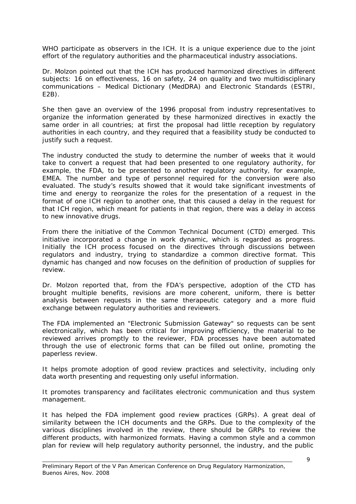WHO participate as observers in the ICH. It is a unique experience due to the joint effort of the regulatory authorities and the pharmaceutical industry associations.

Dr. Molzon pointed out that the ICH has produced harmonized directives in different subjects: 16 on effectiveness, 16 on safety, 24 on quality and two multidisciplinary communications – Medical Dictionary (MedDRA) and Electronic Standards (ESTRI, E2B).

She then gave an overview of the 1996 proposal from industry representatives to organize the information generated by these harmonized directives in exactly the same order in all countries; at first the proposal had little reception by regulatory authorities in each country, and they required that a feasibility study be conducted to justify such a request.

The industry conducted the study to determine the number of weeks that it would take to convert a request that had been presented to one regulatory authority, for example, the FDA, to be presented to another regulatory authority, for example, EMEA. The number and type of personnel required for the conversion were also evaluated. The study's results showed that it would take significant investments of time and energy to reorganize the roles for the presentation of a request in the format of one ICH region to another one, that this caused a delay in the request for that ICH region, which meant for patients in that region, there was a delay in access to new innovative drugs.

From there the initiative of the Common Technical Document (CTD) emerged. This initiative incorporated a change in work dynamic, which is regarded as progress. Initially the ICH process focused on the directives through discussions between regulators and industry, trying to standardize a common directive format. This dynamic has changed and now focuses on the definition of production of supplies for review.

Dr. Molzon reported that, from the FDA's perspective, adoption of the CTD has brought multiple benefits, revisions are more coherent, uniform, there is better analysis between requests in the same therapeutic category and a more fluid exchange between regulatory authorities and reviewers.

The FDA implemented an "Electronic Submission Gateway" so requests can be sent electronically, which has been critical for improving efficiency, the material to be reviewed arrives promptly to the reviewer, FDA processes have been automated through the use of electronic forms that can be filled out online, promoting the paperless review.

It helps promote adoption of good review practices and selectivity, including only data worth presenting and requesting only useful information.

It promotes transparency and facilitates electronic communication and thus system management.

It has helped the FDA implement good review practices (GRPs). A great deal of similarity between the ICH documents and the GRPs. Due to the complexity of the various disciplines involved in the review, there should be GRPs to review the different products, with harmonized formats. Having a common style and a common plan for review will help regulatory authority personnel, the industry, and the public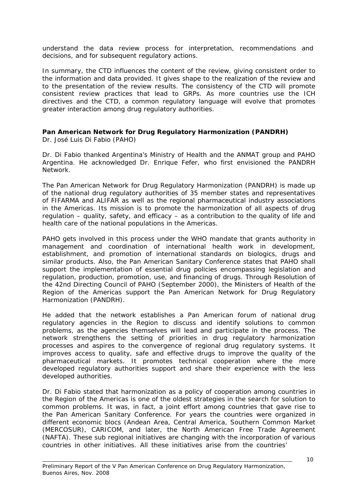understand the data review process for interpretation, recommendations and decisions, and for subsequent regulatory actions.

In summary, the CTD influences the content of the review, giving consistent order to the information and data provided. It gives shape to the realization of the review and to the presentation of the review results. The consistency of the CTD will promote consistent review practices that lead to GRPs. As more countries use the ICH directives and the CTD, a common regulatory language will evolve that promotes greater interaction among drug regulatory authorities.

# **Pan American Network for Drug Regulatory Harmonization (PANDRH)**

Dr. José Luis Di Fabio (PAHO)

Dr. Di Fabio thanked Argentina's Ministry of Health and the ANMAT group and PAHO Argentina. He acknowledged Dr. Enrique Fefer, who first envisioned the PANDRH Network.

The Pan American Network for Drug Regulatory Harmonization (PANDRH) is made up of the national drug regulatory authorities of 35 member states and representatives of FIFARMA and ALIFAR as well as the regional pharmaceutical industry associations in the Americas. Its mission is to promote the harmonization of all aspects of drug regulation – quality, safety, and efficacy – as a contribution to the quality of life and health care of the national populations in the Americas.

PAHO gets involved in this process under the WHO mandate that grants authority in management and coordination of international health work in development, establishment, and promotion of international standards on biologics, drugs and similar products. Also, the Pan American Sanitary Conference states that PAHO shall support the implementation of essential drug policies encompassing legislation and regulation, production, promotion, use, and financing of drugs. Through Resolution of the 42nd Directing Council of PAHO (September 2000), the Ministers of Health of the Region of the Americas support the Pan American Network for Drug Regulatory Harmonization (PANDRH).

He added that the network establishes a Pan American forum of national drug regulatory agencies in the Region to discuss and identify solutions to common problems, as the agencies themselves will lead and participate in the process. The network strengthens the setting of priorities in drug regulatory harmonization processes and aspires to the convergence of regional drug regulatory systems. It improves access to quality, safe and effective drugs to improve the quality of the pharmaceutical markets. It promotes technical cooperation where the more developed regulatory authorities support and share their experience with the less developed authorities.

Dr. Di Fabio stated that harmonization as a policy of cooperation among countries in the Region of the Americas is one of the oldest strategies in the search for solution to common problems. It was, in fact, a joint effort among countries that gave rise to the Pan American Sanitary Conference. For years the countries were organized in different economic blocs (Andean Area, Central America, Southern Common Market (MERCOSUR), CARICOM, and later, the North American Free Trade Agreement (NAFTA). These sub regional initiatives are changing with the incorporation of various countries in other initiatives. All these initiatives arise from the countries'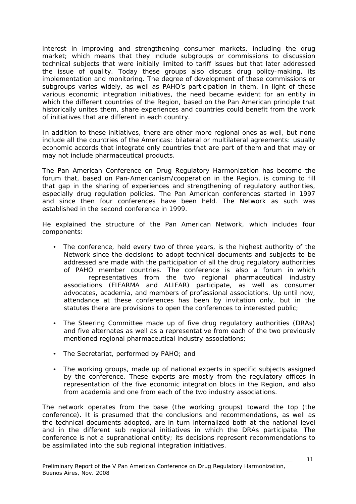interest in improving and strengthening consumer markets, including the drug market; which means that they include subgroups or commissions to discussion technical subjects that were initially limited to tariff issues but that later addressed the issue of quality. Today these groups also discuss drug policy-making, its implementation and monitoring. The degree of development of these commissions or subgroups varies widely, as well as PAHO's participation in them. In light of these various economic integration initiatives, the need became evident for an entity in which the different countries of the Region, based on the Pan American principle that historically unites them, share experiences and countries could benefit from the work of initiatives that are different in each country.

In addition to these initiatives, there are other more regional ones as well, but none include all the countries of the Americas: bilateral or multilateral agreements: usually economic accords that integrate only countries that are part of them and that may or may not include pharmaceutical products.

The Pan American Conference on Drug Regulatory Harmonization has become the forum that, based on Pan-Americanism/cooperation in the Region, is coming to fill that gap in the sharing of experiences and strengthening of regulatory authorities, especially drug regulation policies. The Pan American conferences started in 1997 and since then four conferences have been held. The Network as such was established in the second conference in 1999.

He explained the structure of the Pan American Network, which includes four components:

- The conference, held every two of three years, is the highest authority of the Network since the decisions to adopt technical documents and subjects to be addressed are made with the participation of all the drug regulatory authorities of PAHO member countries. The conference is also a forum in which representatives from the two regional pharmaceutical industry associations (FIFARMA and ALIFAR) participate, as well as consumer advocates, academia, and members of professional associations. Up until now, attendance at these conferences has been by invitation only, but in the statutes there are provisions to open the conferences to interested public;
- The Steering Committee made up of five drug regulatory authorities (DRAs) and five alternates as well as a representative from each of the two previously mentioned regional pharmaceutical industry associations;
- The Secretariat, performed by PAHO; and
- The working groups, made up of national experts in specific subjects assigned by the conference. These experts are mostly from the regulatory offices in representation of the five economic integration blocs in the Region, and also from academia and one from each of the two industry associations.

The network operates from the base (the working groups) toward the top (the conference). It is presumed that the conclusions and recommendations, as well as the technical documents adopted, are in turn internalized both at the national level and in the different sub regional initiatives in which the DRAs participate. The conference is not a supranational entity; its decisions represent recommendations to be assimilated into the sub regional integration initiatives.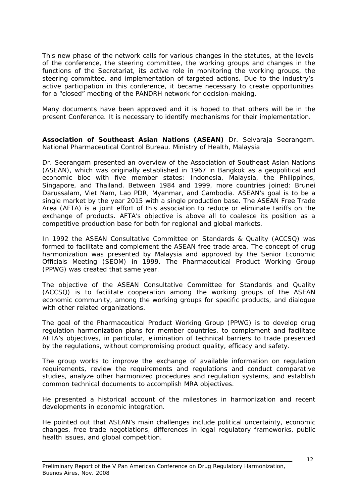This new phase of the network calls for various changes in the statutes, at the levels of the conference, the steering committee, the working groups and changes in the functions of the Secretariat, its active role in monitoring the working groups, the steering committee, and implementation of targeted actions. Due to the industry's active participation in this conference, it became necessary to create opportunities for a "closed" meeting of the PANDRH network for decision-making.

Many documents have been approved and it is hoped to that others will be in the present Conference. It is necessary to identify mechanisms for their implementation.

**Association of Southeast Asian Nations (ASEAN)** Dr. Selvaraja Seerangam. National Pharmaceutical Control Bureau. Ministry of Health, Malaysia

Dr. Seerangam presented an overview of the Association of Southeast Asian Nations (ASEAN), which was originally established in 1967 in Bangkok as a geopolitical and economic bloc with five member states: Indonesia, Malaysia, the Philippines, Singapore, and Thailand. Between 1984 and 1999, more countries joined: Brunei Darussalam, Viet Nam, Lao PDR, Myanmar, and Cambodia. ASEAN's goal is to be a single market by the year 2015 with a single production base. The ASEAN Free Trade Area (AFTA) is a joint effort of this association to reduce or eliminate tariffs on the exchange of products. AFTA's objective is above all to coalesce its position as a competitive production base for both for regional and global markets.

In 1992 the ASEAN Consultative Committee on Standards & Quality (ACCSQ) was formed to facilitate and complement the ASEAN free trade area. The concept of drug harmonization was presented by Malaysia and approved by the Senior Economic Officials Meeting (SEOM) in 1999. The Pharmaceutical Product Working Group (PPWG) was created that same year.

The objective of the ASEAN Consultative Committee for Standards and Quality (ACCSQ) is to facilitate cooperation among the working groups of the ASEAN economic community, among the working groups for specific products, and dialogue with other related organizations.

The goal of the Pharmaceutical Product Working Group (PPWG) is to develop drug regulation harmonization plans for member countries, to complement and facilitate AFTA's objectives, in particular, elimination of technical barriers to trade presented by the regulations, without compromising product quality, efficacy and safety.

The group works to improve the exchange of available information on regulation requirements, review the requirements and regulations and conduct comparative studies, analyze other harmonized procedures and regulation systems, and establish common technical documents to accomplish MRA objectives.

He presented a historical account of the milestones in harmonization and recent developments in economic integration.

He pointed out that ASEAN's main challenges include political uncertainty, economic changes, free trade negotiations, differences in legal regulatory frameworks, public health issues, and global competition.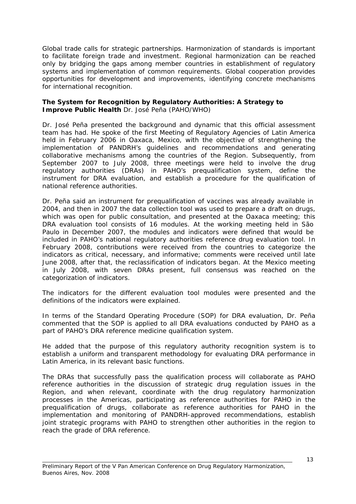Global trade calls for strategic partnerships. Harmonization of standards is important to facilitate foreign trade and investment. Regional harmonization can be reached only by bridging the gaps among member countries in establishment of regulatory systems and implementation of common requirements. Global cooperation provides opportunities for development and improvements, identifying concrete mechanisms for international recognition.

## **The System for Recognition by Regulatory Authorities: A Strategy to Improve Public Health** Dr. José Peña (PAHO/WHO)

Dr. José Peña presented the background and dynamic that this official assessment team has had. He spoke of the first Meeting of Regulatory Agencies of Latin America held in February 2006 in Oaxaca, Mexico, with the objective of strengthening the implementation of PANDRH's guidelines and recommendations and generating collaborative mechanisms among the countries of the Region. Subsequently, from September 2007 to July 2008, three meetings were held to involve the drug regulatory authorities (DRAs) in PAHO's prequalification system, define the instrument for DRA evaluation, and establish a procedure for the qualification of national reference authorities.

Dr. Peña said an instrument for prequalification of vaccines was already available in 2004, and then in 2007 the data collection tool was used to prepare a draft on drugs, which was open for public consultation, and presented at the Oaxaca meeting; this DRA evaluation tool consists of 16 modules. At the working meeting held in São Paulo in December 2007, the modules and indicators were defined that would be included in PAHO's national regulatory authorities reference drug evaluation tool. In February 2008, contributions were received from the countries to categorize the indicators as critical, necessary, and informative; comments were received until late June 2008, after that, the reclassification of indicators began. At the Mexico meeting in July 2008, with seven DRAs present, full consensus was reached on the categorization of indicators.

The indicators for the different evaluation tool modules were presented and the definitions of the indicators were explained.

In terms of the Standard Operating Procedure (SOP) for DRA evaluation, Dr. Peña commented that the SOP is applied to all DRA evaluations conducted by PAHO as a part of PAHO's DRA reference medicine qualification system.

He added that the purpose of this regulatory authority recognition system is to establish a uniform and transparent methodology for evaluating DRA performance in Latin America, in its relevant basic functions.

The DRAs that successfully pass the qualification process will collaborate as PAHO reference authorities in the discussion of strategic drug regulation issues in the Region, and when relevant, coordinate with the drug regulatory harmonization processes in the Americas, participating as reference authorities for PAHO in the prequalification of drugs, collaborate as reference authorities for PAHO in the implementation and monitoring of PANDRH-approved recommendations, establish joint strategic programs with PAHO to strengthen other authorities in the region to reach the grade of DRA reference.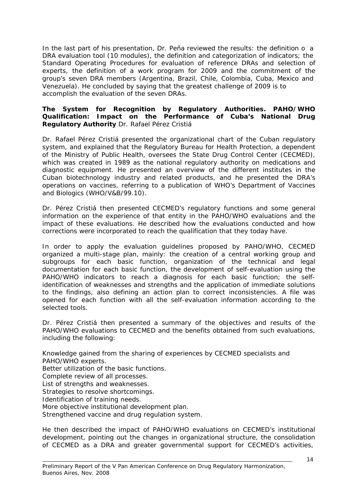In the last part of his presentation, Dr. Peña reviewed the results: the definition of a DRA evaluation tool (10 modules), the definition and categorization of indicators; the Standard Operating Procedures for evaluation of reference DRAs and selection of experts, the definition of a work program for 2009 and the commitment of the group's seven DRA members (Argentina, Brazil, Chile, Colombia, Cuba, Mexico and Venezuela). He concluded by saying that the greatest challenge of 2009 is to accomplish the evaluation of the seven DRAs.

## **The System for Recognition by Regulatory Authorities. PAHO/WHO Qualification: Impact on the Performance of Cuba's National Drug Regulatory Authority** Dr. Rafael Pérez Cristiá

Dr. Rafael Pérez Cristiá presented the organizational chart of the Cuban regulatory system, and explained that the Regulatory Bureau for Health Protection, a dependent of the Ministry of Public Health, oversees the State Drug Control Center (CECMED), which was created in 1989 as the national regulatory authority on medications and diagnostic equipment. He presented an overview of the different institutes in the Cuban biotechnology industry and related products, and he presented the DRA's operations on vaccines, referring to a publication of WHO's Department of Vaccines and Biologics (WHO/V&B/99.10).

Dr. Pérez Cristiá then presented CECMED's regulatory functions and some general information on the experience of that entity in the PAHO/WHO evaluations and the impact of these evaluations. He described how the evaluations conducted and how corrections were incorporated to reach the qualification that they today have.

In order to apply the evaluation guidelines proposed by PAHO/WHO, CECMED organized a multi-stage plan, mainly: the creation of a central working group and subgroups for each basic function, organization of the technical and legal documentation for each basic function, the development of self-evaluation using the PAHO/WHO indicators to reach a diagnosis for each basic function; the selfidentification of weaknesses and strengths and the application of immediate solutions to the findings, also defining an action plan to correct inconsistencies. A file was opened for each function with all the self-evaluation information according to the selected tools.

Dr. Pérez Cristiá then presented a summary of the objectives and results of the PAHO/WHO evaluations to CECMED and the benefits obtained from such evaluations, including the following:

Knowledge gained from the sharing of experiences by CECMED specialists and PAHO/WHO experts. Better utilization of the basic functions. Complete review of all processes. List of strengths and weaknesses. Strategies to resolve shortcomings. Identification of training needs. More objective institutional development plan. Strengthened vaccine and drug regulation system.

He then described the impact of PAHO/WHO evaluations on CECMED's institutional development, pointing out the changes in organizational structure, the consolidation of CECMED as a DRA and greater governmental support for CECMED's activities,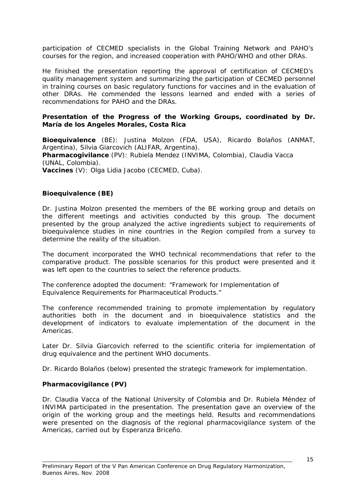participation of CECMED specialists in the Global Training Network and PAHO's courses for the region, and increased cooperation with PAHO/WHO and other DRAs.

He finished the presentation reporting the approval of certification of CECMED's quality management system and summarizing the participation of CECMED personnel in training courses on basic regulatory functions for vaccines and in the evaluation of other DRAs. He commended the lessons learned and ended with a series of recommendations for PAHO and the DRAs.

#### **Presentation of the Progress of the Working Groups, coordinated by Dr. María de los Angeles Morales, Costa Rica**

**Bioequivalence** (BE): Justina Molzon (FDA, USA), Ricardo Bolaños (ANMAT, Argentina), Silvia Giarcovich (ALIFAR, Argentina). **Pharmacogivilance** (PV): Rubiela Mendez (INVIMA, Colombia), Claudia Vacca (UNAL, Colombia).

**Vaccines** (V): Olga Lidia Jacobo (CECMED, Cuba).

## **Bioequivalence (BE)**

Dr. Justina Molzon presented the members of the BE working group and details on the different meetings and activities conducted by this group. The document presented by the group analyzed the active ingredients subject to requirements of bioequivalence studies in nine countries in the Region compiled from a survey to determine the reality of the situation.

The document incorporated the WHO technical recommendations that refer to the comparative product. The possible scenarios for this product were presented and it was left open to the countries to select the reference products.

The conference adopted the document: "Framework for Implementation of Equivalence Requirements for Pharmaceutical Products."

The conference recommended training to promote implementation by regulatory authorities both in the document and in bioequivalence statistics and the development of indicators to evaluate implementation of the document in the Americas.

Later Dr. Silvia Giarcovich referred to the scientific criteria for implementation of drug equivalence and the pertinent WHO documents.

Dr. Ricardo Bolaños (below) presented the strategic framework for implementation.

#### **Pharmacovigilance (PV)**

Dr. Claudia Vacca of the National University of Colombia and Dr. Rubiela Méndez of INVIMA participated in the presentation. The presentation gave an overview of the origin of the working group and the meetings held. Results and recommendations were presented on the diagnosis of the regional pharmacovigilance system of the Americas, carried out by Esperanza Briceño.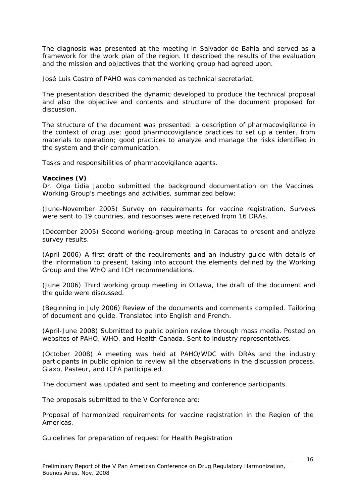The diagnosis was presented at the meeting in Salvador de Bahia and served as a framework for the work plan of the region. It described the results of the evaluation and the mission and objectives that the working group had agreed upon.

José Luis Castro of PAHO was commended as technical secretariat.

The presentation described the dynamic developed to produce the technical proposal and also the objective and contents and structure of the document proposed for discussion.

The structure of the document was presented: a description of pharmacovigilance in the context of drug use; good pharmocovigilance practices to set up a center, from materials to operation; good practices to analyze and manage the risks identified in the system and their communication.

Tasks and responsibilities of pharmacovigilance agents.

#### **Vaccines (V)**

Dr. Olga Lidia Jacobo submitted the background documentation on the Vaccines Working Group's meetings and activities, summarized below:

(June-November 2005) Survey on requirements for vaccine registration. Surveys were sent to 19 countries, and responses were received from 16 DRAs.

(December 2005) Second working-group meeting in Caracas to present and analyze survey results.

(April 2006) A first draft of the requirements and an industry guide with details of the information to present, taking into account the elements defined by the Working Group and the WHO and ICH recommendations.

(June 2006) Third working group meeting in Ottawa, the draft of the document and the guide were discussed.

(Beginning in July 2006) Review of the documents and comments compiled. Tailoring of document and guide. Translated into English and French.

(April-June 2008) Submitted to public opinion review through mass media. Posted on websites of PAHO, WHO, and Health Canada. Sent to industry representatives.

(October 2008) A meeting was held at PAHO/WDC with DRAs and the industry participants in public opinion to review all the observations in the discussion process. Glaxo, Pasteur, and ICFA participated.

The document was updated and sent to meeting and conference participants.

The proposals submitted to the V Conference are:

Proposal of harmonized requirements for vaccine registration in the Region of the Americas.

Guidelines for preparation of request for Health Registration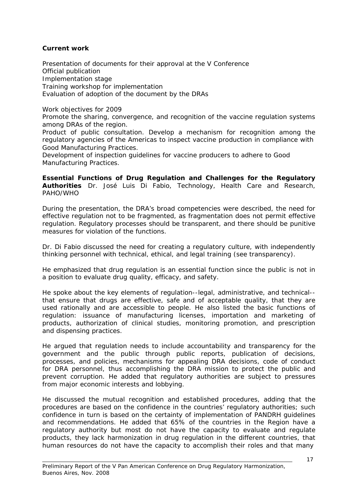# **Current work**

Presentation of documents for their approval at the V Conference Official publication Implementation stage Training workshop for implementation Evaluation of adoption of the document by the DRAs

Work objectives for 2009

Promote the sharing, convergence, and recognition of the vaccine regulation systems among DRAs of the region.

Product of public consultation. Develop a mechanism for recognition among the regulatory agencies of the Americas to inspect vaccine production in compliance with Good Manufacturing Practices.

Development of inspection guidelines for vaccine producers to adhere to Good Manufacturing Practices.

**Essential Functions of Drug Regulation and Challenges for the Regulatory Authorities** Dr. José Luis Di Fabio, Technology, Health Care and Research, PAHO/WHO

During the presentation, the DRA's broad competencies were described, the need for effective regulation not to be fragmented, as fragmentation does not permit effective regulation. Regulatory processes should be transparent, and there should be punitive measures for violation of the functions.

Dr. Di Fabio discussed the need for creating a regulatory culture, with independently thinking personnel with technical, ethical, and legal training (see transparency).

He emphasized that drug regulation is an essential function since the public is not in a position to evaluate drug quality, efficacy, and safety.

He spoke about the key elements of regulation--legal, administrative, and technical- that ensure that drugs are effective, safe and of acceptable quality, that they are used rationally and are accessible to people. He also listed the basic functions of regulation: issuance of manufacturing licenses, importation and marketing of products, authorization of clinical studies, monitoring promotion, and prescription and dispensing practices.

He argued that regulation needs to include accountability and transparency for the government and the public through public reports, publication of decisions, processes, and policies, mechanisms for appealing DRA decisions, code of conduct for DRA personnel, thus accomplishing the DRA mission to protect the public and prevent corruption. He added that regulatory authorities are subject to pressures from major economic interests and lobbying.

He discussed the mutual recognition and established procedures, adding that the procedures are based on the confidence in the countries' regulatory authorities; such confidence in turn is based on the certainty of implementation of PANDRH guidelines and recommendations. He added that 65% of the countries in the Region have a regulatory authority but most do not have the capacity to evaluate and regulate products, they lack harmonization in drug regulation in the different countries, that human resources do not have the capacity to accomplish their roles and that many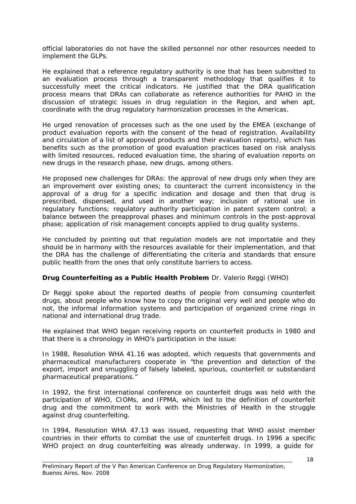official laboratories do not have the skilled personnel nor other resources needed to implement the GLPs.

He explained that a reference regulatory authority is one that has been submitted to an evaluation process through a transparent methodology that qualifies it to successfully meet the critical indicators. He justified that the DRA qualification process means that DRAs can collaborate as reference authorities for PAHO in the discussion of strategic issues in drug regulation in the Region, and when apt, coordinate with the drug regulatory harmonization processes in the Americas.

He urged renovation of processes such as the one used by the EMEA (exchange of product evaluation reports with the consent of the head of registration. Availability and circulation of a list of approved products and their evaluation reports), which has benefits such as the promotion of good evaluation practices based on risk analysis with limited resources, reduced evaluation time, the sharing of evaluation reports on new drugs in the research phase, new drugs, among others.

He proposed new challenges for DRAs: the approval of new drugs only when they are an improvement over existing ones; to counteract the current inconsistency in the approval of a drug for a specific indication and dosage and then that drug is prescribed, dispensed, and used in another way; inclusion of rational use in regulatory functions; regulatory authority participation in patent system control; a balance between the preapproval phases and minimum controls in the post-approval phase; application of risk management concepts applied to drug quality systems.

He concluded by pointing out that regulation models are not importable and they should be in harmony with the resources available for their implementation, and that the DRA has the challenge of differentiating the criteria and standards that ensure public health from the ones that only constitute barriers to access.

## **Drug Counterfeiting as a Public Health Problem** Dr. Valerio Reggi (WHO)

Dr Reggi spoke about the reported deaths of people from consuming counterfeit drugs, about people who know how to copy the original very well and people who do not, the informal information systems and participation of organized crime rings in national and international drug trade.

He explained that WHO began receiving reports on counterfeit products in 1980 and that there is a chronology in WHO's participation in the issue:

In 1988, Resolution WHA 41.16 was adopted, which requests that governments and pharmaceutical manufacturers cooperate in "the prevention and detection of the export, import and smuggling of falsely labeled, spurious, counterfeit or substandard pharmaceutical preparations."

In 1992, the first international conference on counterfeit drugs was held with the participation of WHO, CIOMs, and IFPMA, which led to the definition of counterfeit drug and the commitment to work with the Ministries of Health in the struggle against drug counterfeiting.

In 1994, Resolution WHA 47.13 was issued, requesting that WHO assist member countries in their efforts to combat the use of counterfeit drugs. In 1996 a specific WHO project on drug counterfeiting was already underway. In 1999, a guide for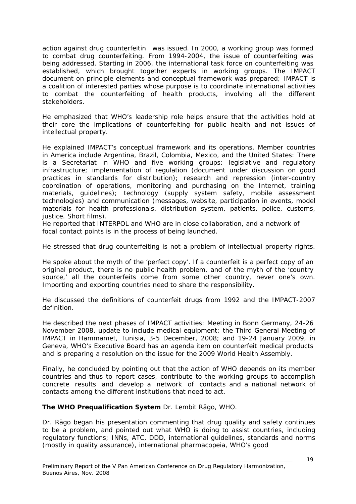action against drug counterfeitin was issued. In 2000, a working group was formed to combat drug counterfeiting. From 1994-2004, the issue of counterfeiting was being addressed. Starting in 2006, the international task force on counterfeiting was established, which brought together experts in working groups. The IMPACT document on principle elements and conceptual framework was prepared; IMPACT is a coalition of interested parties whose purpose is to coordinate international activities to combat the counterfeiting of health products, involving all the different stakeholders.

He emphasized that WHO's leadership role helps ensure that the activities hold at their core the implications of counterfeiting for public health and not issues of intellectual property.

He explained IMPACT's conceptual framework and its operations. Member countries in America include Argentina, Brazil, Colombia, Mexico, and the United States: There is a Secretariat in WHO and five working groups: legislative and regulatory infrastructure; implementation of regulation (document under discussion on good practices in standards for distribution); research and repression (inter-country coordination of operations, monitoring and purchasing on the Internet, training materials, guidelines); technology (supply system safety, mobile assessment technologies) and communication (messages, website, participation in events, model materials for health professionals, distribution system, patients, police, customs, justice. Short films).

He reported that INTERPOL and WHO are in close collaboration, and a network of focal contact points is in the process of being launched.

He stressed that drug counterfeiting is not a problem of intellectual property rights.

He spoke about the myth of the 'perfect copy'. If a counterfeit is a perfect copy of an original product, there is no public health problem, and of the myth of the 'country source,' all the counterfeits come from some other country, never one's own. Importing and exporting countries need to share the responsibility.

He discussed the definitions of counterfeit drugs from 1992 and the IMPACT-2007 definition.

He described the next phases of IMPACT activities: Meeting in Bonn Germany, 24-26 November 2008, update to include medical equipment; the Third General Meeting of IMPACT in Hammamet, Tunisia, 3-5 December, 2008; and 19-24 January 2009, in Geneva, WHO's Executive Board has an agenda item on counterfeit medical products and is preparing a resolution on the issue for the 2009 World Health Assembly.

Finally, he concluded by pointing out that the action of WHO depends on its member countries and thus to report cases, contribute to the working groups to accomplish concrete results and develop a network of contacts and a national network of contacts among the different institutions that need to act.

## **The WHO Prequalification System** Dr. Lembit Rägo, WHO.

Dr. Rägo began his presentation commenting that drug quality and safety continues to be a problem, and pointed out what WHO is doing to assist countries, including regulatory functions; INNs, ATC, DDD, international guidelines, standards and norms (mostly in quality assurance), international pharmacopeia, WHO's good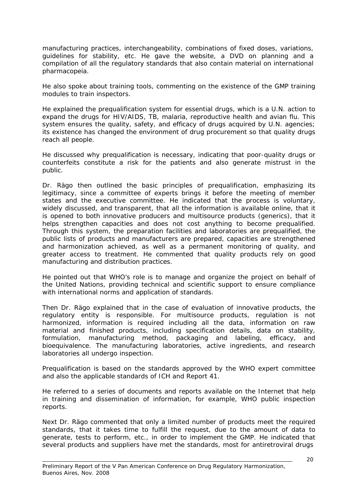manufacturing practices, interchangeability, combinations of fixed doses, variations, guidelines for stability, etc. He gave the website, a DVD on planning and a compilation of all the regulatory standards that also contain material on international pharmacopeia.

He also spoke about training tools, commenting on the existence of the GMP training modules to train inspectors.

He explained the prequalification system for essential drugs, which is a U.N. action to expand the drugs for HIV/AIDS, TB, malaria, reproductive health and avian flu. This system ensures the quality, safety, and efficacy of drugs acquired by U.N. agencies; its existence has changed the environment of drug procurement so that quality drugs reach all people.

He discussed why prequalification is necessary, indicating that poor-quality drugs or counterfeits constitute a risk for the patients and also generate mistrust in the public.

Dr. Rägo then outlined the basic principles of prequalification, emphasizing its legitimacy, since a committee of experts brings it before the meeting of member states and the executive committee. He indicated that the process is voluntary, widely discussed, and transparent, that all the information is available online, that it is opened to both innovative producers and multisource products (generics), that it helps strengthen capacities and does not cost anything to become prequalified. Through this system, the preparation facilities and laboratories are prequalified, the public lists of products and manufacturers are prepared, capacities are strengthened and harmonization achieved, as well as a permanent monitoring of quality, and greater access to treatment. He commented that quality products rely on good manufacturing and distribution practices.

He pointed out that WHO's role is to manage and organize the project on behalf of the United Nations, providing technical and scientific support to ensure compliance with international norms and application of standards.

Then Dr. Rägo explained that in the case of evaluation of innovative products, the regulatory entity is responsible. For multisource products, regulation is not harmonized, information is required including all the data, information on raw material and finished products, including specification details, data on stability, formulation, manufacturing method, packaging and labeling, efficacy, and bioequivalence. The manufacturing laboratories, active ingredients, and research laboratories all undergo inspection.

Prequalification is based on the standards approved by the WHO expert committee and also the applicable standards of ICH and Report 41.

He referred to a series of documents and reports available on the Internet that help in training and dissemination of information, for example, WHO public inspection reports.

Next Dr. Rägo commented that only a limited number of products meet the required standards, that it takes time to fulfill the request, due to the amount of data to generate, tests to perform, etc., in order to implement the GMP. He indicated that several products and suppliers have met the standards, most for antiretroviral drugs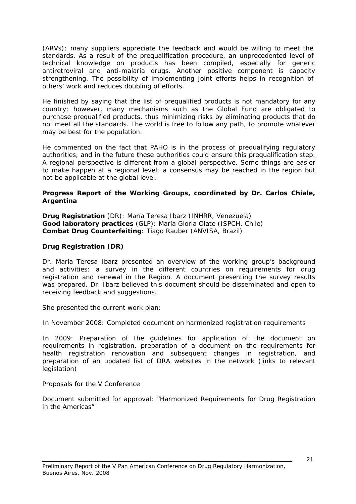(ARVs); many suppliers appreciate the feedback and would be willing to meet the standards. As a result of the prequalification procedure, an unprecedented level of technical knowledge on products has been compiled, especially for generic antiretroviral and anti-malaria drugs. Another positive component is capacity strengthening. The possibility of implementing joint efforts helps in recognition of others' work and reduces doubling of efforts.

He finished by saying that the list of prequalified products is not mandatory for any country; however, many mechanisms such as the Global Fund are obligated to purchase prequalified products, thus minimizing risks by eliminating products that do not meet all the standards. The world is free to follow any path, to promote whatever may be best for the population.

He commented on the fact that PAHO is in the process of prequalifying regulatory authorities, and in the future these authorities could ensure this prequalification step. A regional perspective is different from a global perspective. Some things are easier to make happen at a regional level; a consensus may be reached in the region but not be applicable at the global level.

#### **Progress Report of the Working Groups, coordinated by Dr. Carlos Chiale, Argentina**

**Drug Registration** (DR): María Teresa Ibarz (INHRR, Venezuela) **Good laboratory practices** (GLP): María Gloria Olate (ISPCH, Chile) **Combat Drug Counterfeiting**: Tiago Rauber (ANVISA, Brazil)

## **Drug Registration (DR)**

Dr. María Teresa Ibarz presented an overview of the working group's background and activities: a survey in the different countries on requirements for drug registration and renewal in the Region. A document presenting the survey results was prepared. Dr. Ibarz believed this document should be disseminated and open to receiving feedback and suggestions.

She presented the current work plan:

In November 2008: Completed document on harmonized registration requirements

In 2009: Preparation of the guidelines for application of the document on requirements in registration, preparation of a document on the requirements for health registration renovation and subsequent changes in registration, and preparation of an updated list of DRA websites in the network (links to relevant legislation)

Proposals for the V Conference

Document submitted for approval: "Harmonized Requirements for Drug Registration in the Americas"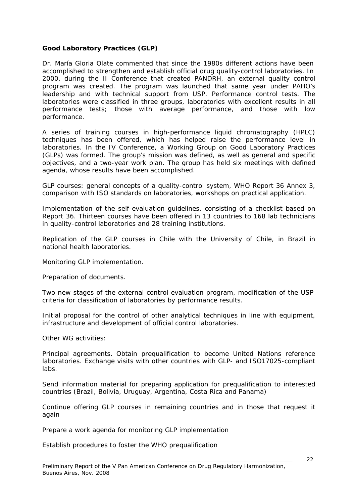# **Good Laboratory Practices (GLP)**

Dr. María Gloria Olate commented that since the 1980s different actions have been accomplished to strengthen and establish official drug quality-control laboratories. In 2000, during the II Conference that created PANDRH, an external quality control program was created. The program was launched that same year under PAHO's leadership and with technical support from USP. Performance control tests. The laboratories were classified in three groups, laboratories with excellent results in all performance tests; those with average performance, and those with low performance.

A series of training courses in high-performance liquid chromatography (HPLC) techniques has been offered, which has helped raise the performance level in laboratories. In the IV Conference, a Working Group on Good Laboratory Practices (GLPs) was formed. The group's mission was defined, as well as general and specific objectives, and a two-year work plan. The group has held six meetings with defined agenda, whose results have been accomplished.

GLP courses: general concepts of a quality-control system, WHO Report 36 Annex 3, comparison with ISO standards on laboratories, workshops on practical application.

Implementation of the self-evaluation guidelines, consisting of a checklist based on Report 36. Thirteen courses have been offered in 13 countries to 168 lab technicians in quality-control laboratories and 28 training institutions.

Replication of the GLP courses in Chile with the University of Chile, in Brazil in national health laboratories.

Monitoring GLP implementation.

Preparation of documents.

Two new stages of the external control evaluation program, modification of the USP criteria for classification of laboratories by performance results.

Initial proposal for the control of other analytical techniques in line with equipment, infrastructure and development of official control laboratories.

Other WG activities:

Principal agreements. Obtain prequalification to become United Nations reference laboratories. Exchange visits with other countries with GLP- and ISO17025-compliant labs.

Send information material for preparing application for prequalification to interested countries (Brazil, Bolivia, Uruguay, Argentina, Costa Rica and Panama)

Continue offering GLP courses in remaining countries and in those that request it again

Prepare a work agenda for monitoring GLP implementation

Establish procedures to foster the WHO prequalification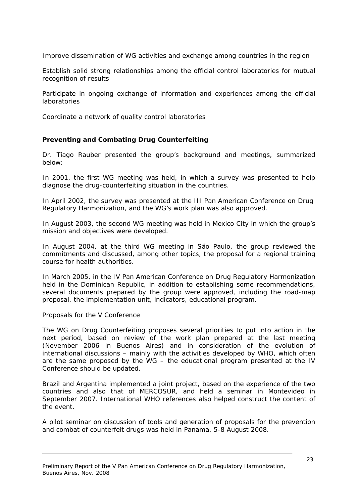Improve dissemination of WG activities and exchange among countries in the region

Establish solid strong relationships among the official control laboratories for mutual recognition of results

Participate in ongoing exchange of information and experiences among the official laboratories

Coordinate a network of quality control laboratories

## **Preventing and Combating Drug Counterfeiting**

Dr. Tiago Rauber presented the group's background and meetings, summarized below:

In 2001, the first WG meeting was held, in which a survey was presented to help diagnose the drug-counterfeiting situation in the countries.

In April 2002, the survey was presented at the III Pan American Conference on Drug Regulatory Harmonization, and the WG's work plan was also approved.

In August 2003, the second WG meeting was held in Mexico City in which the group's mission and objectives were developed.

In August 2004, at the third WG meeting in São Paulo, the group reviewed the commitments and discussed, among other topics, the proposal for a regional training course for health authorities.

In March 2005, in the IV Pan American Conference on Drug Regulatory Harmonization held in the Dominican Republic, in addition to establishing some recommendations, several documents prepared by the group were approved, including the road-map proposal, the implementation unit, indicators, educational program.

Proposals for the V Conference

The WG on Drug Counterfeiting proposes several priorities to put into action in the next period, based on review of the work plan prepared at the last meeting (November 2006 in Buenos Aires) and in consideration of the evolution of international discussions – mainly with the activities developed by WHO, which often are the same proposed by the WG – the educational program presented at the IV Conference should be updated.

Brazil and Argentina implemented a joint project, based on the experience of the two countries and also that of MERCOSUR, and held a seminar in Montevideo in September 2007. International WHO references also helped construct the content of the event.

A pilot seminar on discussion of tools and generation of proposals for the prevention and combat of counterfeit drugs was held in Panama, 5-8 August 2008.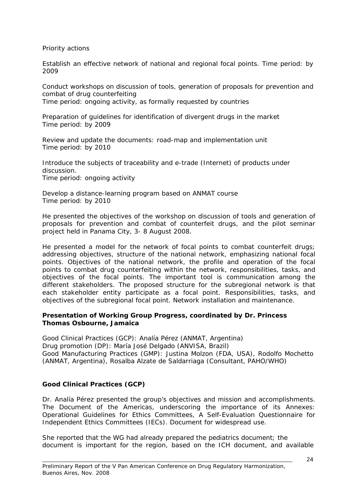Priority actions

Establish an effective network of national and regional focal points. Time period: by 2009

Conduct workshops on discussion of tools, generation of proposals for prevention and combat of drug counterfeiting

Time period: ongoing activity, as formally requested by countries

Preparation of guidelines for identification of divergent drugs in the market Time period: by 2009

Review and update the documents: road-map and implementation unit Time period: by 2010

Introduce the subjects of traceability and e-trade (Internet) of products under discussion. Time period: ongoing activity

Develop a distance-learning program based on ANMAT course Time period: by 2010

He presented the objectives of the workshop on discussion of tools and generation of proposals for prevention and combat of counterfeit drugs, and the pilot seminar project held in Panama City, 3- 8 August 2008.

He presented a model for the network of focal points to combat counterfeit drugs; addressing objectives, structure of the national network, emphasizing national focal points. Objectives of the national network, the profile and operation of the focal points to combat drug counterfeiting within the network, responsibilities, tasks, and objectives of the focal points. The important tool is communication among the different stakeholders. The proposed structure for the subregional network is that each stakeholder entity participate as a focal point. Responsibilities, tasks, and objectives of the subregional focal point. Network installation and maintenance.

## **Presentation of Working Group Progress, coordinated by Dr. Princess Thomas Osbourne, Jamaica**

Good Clinical Practices (GCP): Analía Pérez (ANMAT, Argentina) Drug promotion (DP): María José Delgado (ANVISA, Brazil) Good Manufacturing Practices (GMP): Justina Molzon (FDA, USA), Rodolfo Mochetto (ANMAT, Argentina), Rosalba Alzate de Saldarriaga (Consultant, PAHO/WHO)

# **Good Clinical Practices (GCP)**

Dr. Analía Pérez presented the group's objectives and mission and accomplishments. The Document of the Americas, underscoring the importance of its Annexes: Operational Guidelines for Ethics Committees, A Self-Evaluation Questionnaire for Independent Ethics Committees (IECs). Document for widespread use.

She reported that the WG had already prepared the pediatrics document; the document is important for the region, based on the ICH document, and available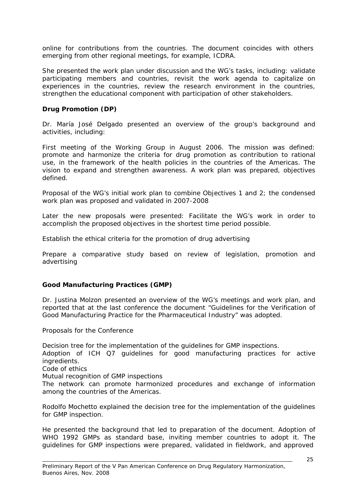online for contributions from the countries. The document coincides with others emerging from other regional meetings, for example, ICDRA.

She presented the work plan under discussion and the WG's tasks, including: validate participating members and countries, revisit the work agenda to capitalize on experiences in the countries, review the research environment in the countries, strengthen the educational component with participation of other stakeholders.

#### **Drug Promotion (DP)**

Dr. María José Delgado presented an overview of the group's background and activities, including:

First meeting of the Working Group in August 2006. The mission was defined: promote and harmonize the criteria for drug promotion as contribution to rational use, in the framework of the health policies in the countries of the Americas. The vision to expand and strengthen awareness. A work plan was prepared, objectives defined.

Proposal of the WG's initial work plan to combine Objectives 1 and 2; the condensed work plan was proposed and validated in 2007-2008

Later the new proposals were presented: Facilitate the WG's work in order to accomplish the proposed objectives in the shortest time period possible.

Establish the ethical criteria for the promotion of drug advertising

Prepare a comparative study based on review of legislation, promotion and advertising

#### **Good Manufacturing Practices (GMP)**

Dr. Justina Molzon presented an overview of the WG's meetings and work plan, and reported that at the last conference the document "Guidelines for the Verification of Good Manufacturing Practice for the Pharmaceutical Industry" was adopted.

Proposals for the Conference

Decision tree for the implementation of the guidelines for GMP inspections.

Adoption of ICH Q7 guidelines for good manufacturing practices for active ingredients.

Code of ethics

Mutual recognition of GMP inspections

The network can promote harmonized procedures and exchange of information among the countries of the Americas.

Rodolfo Mochetto explained the decision tree for the implementation of the guidelines for GMP inspection.

He presented the background that led to preparation of the document. Adoption of WHO 1992 GMPs as standard base, inviting member countries to adopt it. The guidelines for GMP inspections were prepared, validated in fieldwork, and approved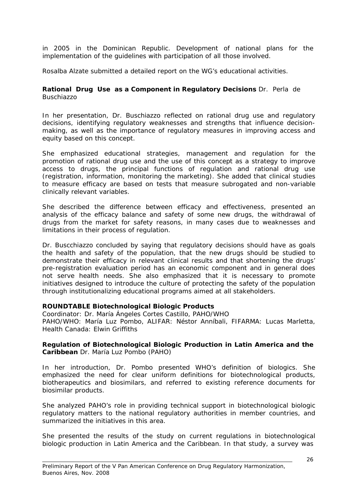in 2005 in the Dominican Republic. Development of national plans for the implementation of the guidelines with participation of all those involved.

Rosalba Alzate submitted a detailed report on the WG's educational activities.

#### **Rational Drug Use as a Component in Regulatory Decisions** Dr. Perla de Buschiazzo

In her presentation, Dr. Buschiazzo reflected on rational drug use and regulatory decisions, identifying regulatory weaknesses and strengths that influence decisionmaking, as well as the importance of regulatory measures in improving access and equity based on this concept.

She emphasized educational strategies, management and regulation for the promotion of rational drug use and the use of this concept as a strategy to improve access to drugs, the principal functions of regulation and rational drug use (registration, information, monitoring the marketing). She added that clinical studies to measure efficacy are based on tests that measure subrogated and non-variable clinically relevant variables.

She described the difference between efficacy and effectiveness, presented an analysis of the efficacy balance and safety of some new drugs, the withdrawal of drugs from the market for safety reasons, in many cases due to weaknesses and limitations in their process of regulation.

Dr. Buscchiazzo concluded by saying that regulatory decisions should have as goals the health and safety of the population, that the new drugs should be studied to demonstrate their efficacy in relevant clinical results and that shortening the drugs' pre-registration evaluation period has an economic component and in general does not serve health needs. She also emphasized that it is necessary to promote initiatives designed to introduce the culture of protecting the safety of the population through institutionalizing educational programs aimed at all stakeholders.

## **ROUNDTABLE Biotechnological Biologic Products**

Coordinator: Dr. María Ángeles Cortes Castillo, PAHO/WHO

PAHO/WHO: María Luz Pombo, ALIFAR: Néstor Anníbali, FIFARMA: Lucas Marletta, Health Canada: Elwin Griffiths

#### **Regulation of Biotechnological Biologic Production in Latin America and the Caribbean** Dr. María Luz Pombo (PAHO)

In her introduction, Dr. Pombo presented WHO's definition of biologics. She emphasized the need for clear uniform definitions for biotechnological products, biotherapeutics and biosimilars, and referred to existing reference documents for biosimilar products.

She analyzed PAHO's role in providing technical support in biotechnological biologic regulatory matters to the national regulatory authorities in member countries, and summarized the initiatives in this area.

She presented the results of the study on current regulations in biotechnological biologic production in Latin America and the Caribbean. In that study, a survey was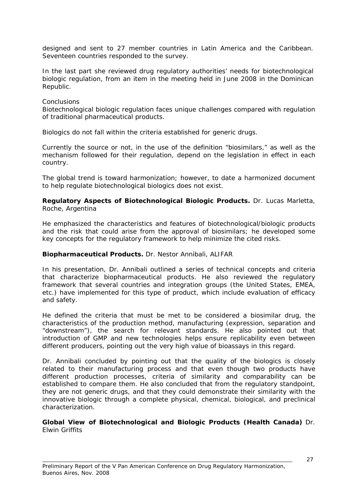designed and sent to 27 member countries in Latin America and the Caribbean. Seventeen countries responded to the survey.

In the last part she reviewed drug regulatory authorities' needs for biotechnological biologic regulation, from an item in the meeting held in June 2008 in the Dominican Republic.

#### **Conclusions**

Biotechnological biologic regulation faces unique challenges compared with regulation of traditional pharmaceutical products.

Biologics do not fall within the criteria established for generic drugs.

Currently the source or not, in the use of the definition "biosimilars," as well as the mechanism followed for their regulation, depend on the legislation in effect in each country.

The global trend is toward harmonization; however, to date a harmonized document to help regulate biotechnological biologics does not exist.

**Regulatory Aspects of Biotechnological Biologic Products.** Dr. Lucas Marletta, Roche, Argentina

He emphasized the characteristics and features of biotechnological/biologic products and the risk that could arise from the approval of biosimilars; he developed some key concepts for the regulatory framework to help minimize the cited risks.

#### **Biopharmaceutical Products.** Dr. Nestor Annibali, ALIFAR

In his presentation, Dr. Annibali outlined a series of technical concepts and criteria that characterize biopharmaceutical products. He also reviewed the regulatory framework that several countries and integration groups (the United States, EMEA, etc.) have implemented for this type of product, which include evaluation of efficacy and safety.

He defined the criteria that must be met to be considered a biosimilar drug, the characteristics of the production method, manufacturing (expression, separation and "downstream"), the search for relevant standards. He also pointed out that introduction of GMP and new technologies helps ensure replicability even between different producers, pointing out the very high value of bioassays in this regard.

Dr. Annibali concluded by pointing out that the quality of the biologics is closely related to their manufacturing process and that even though two products have different production processes, criteria of similarity and comparability can be established to compare them. He also concluded that from the regulatory standpoint, they are not generic drugs, and that they could demonstrate their similarity with the innovative biologic through a complete physical, chemical, biological, and preclinical characterization.

**Global View of Biotechnological and Biologic Products (Health Canada)** Dr. Elwin Griffits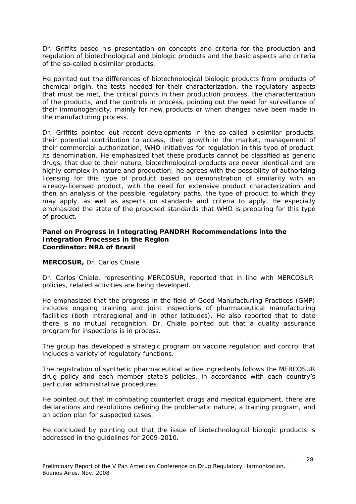Dr. Griffits based his presentation on concepts and criteria for the production and regulation of biotechnological and biologic products and the basic aspects and criteria of the so-called biosimilar products.

He pointed out the differences of biotechnological biologic products from products of chemical origin, the tests needed for their characterization, the regulatory aspects that must be met, the critical points in their production process, the characterization of the products, and the controls in process, pointing out the need for surveillance of their immunogenicity, mainly for new products or when changes have been made in the manufacturing process.

Dr. Griffits pointed out recent developments in the so-called biosimilar products, their potential contribution to access, their growth in the market, management of their commercial authorization, WHO initiatives for regulation in this type of product, its denomination. He emphasized that these products cannot be classified as generic drugs, that due to their nature, biotechnological products are never identical and are highly complex in nature and production; he agrees with the possibility of authorizing licensing for this type of product based on demonstration of similarity with an already-licensed product, with the need for extensive product characterization and then an analysis of the possible regulatory paths, the type of product to which they may apply, as well as aspects on standards and criteria to apply. He especially emphasized the state of the proposed standards that WHO is preparing for this type of product.

#### **Panel on Progress in Integrating PANDRH Recommendations into the Integration Processes in the Region Coordinator: NRA of Brazil**

## **MERCOSUR,** Dr. Carlos Chiale

Dr. Carlos Chiale, representing MERCOSUR, reported that in line with MERCOSUR policies, related activities are being developed.

He emphasized that the progress in the field of Good Manufacturing Practices (GMP) includes ongoing training and joint inspections of pharmaceutical manufacturing facilities (both intraregional and in other latitudes). He also reported that to date there is no mutual recognition. Dr. Chiale pointed out that a quality assurance program for inspections is in process.

The group has developed a strategic program on vaccine regulation and control that includes a variety of regulatory functions.

The registration of synthetic pharmaceutical active ingredients follows the MERCOSUR drug policy and each member state's policies, in accordance with each country's particular administrative procedures.

He pointed out that in combating counterfeit drugs and medical equipment, there are declarations and resolutions defining the problematic nature, a training program, and an action plan for suspected cases.

He concluded by pointing out that the issue of biotechnological biologic products is addressed in the guidelines for 2009-2010.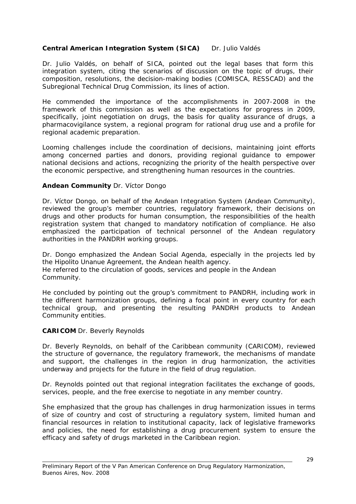# **Central American Integration System (SICA)** Dr. Julio Valdés

Dr. Julio Valdés, on behalf of SICA, pointed out the legal bases that form this integration system, citing the scenarios of discussion on the topic of drugs, their composition, resolutions, the decision-making bodies (COMISCA, RESSCAD) and the Subregional Technical Drug Commission, its lines of action.

He commended the importance of the accomplishments in 2007-2008 in the framework of this commission as well as the expectations for progress in 2009, specifically, joint negotiation on drugs, the basis for quality assurance of drugs, a pharmacovigilance system, a regional program for rational drug use and a profile for regional academic preparation.

Looming challenges include the coordination of decisions, maintaining joint efforts among concerned parties and donors, providing regional guidance to empower national decisions and actions, recognizing the priority of the health perspective over the economic perspective, and strengthening human resources in the countries.

# **Andean Community** Dr. Víctor Dongo

Dr. Víctor Dongo, on behalf of the Andean Integration System (Andean Community), reviewed the group's member countries, regulatory framework, their decisions on drugs and other products for human consumption, the responsibilities of the health registration system that changed to mandatory notification of compliance. He also emphasized the participation of technical personnel of the Andean regulatory authorities in the PANDRH working groups.

Dr. Dongo emphasized the Andean Social Agenda, especially in the projects led by the Hipolito Unanue Agreement, the Andean health agency. He referred to the circulation of goods, services and people in the Andean Community.

He concluded by pointing out the group's commitment to PANDRH, including work in the different harmonization groups, defining a focal point in every country for each technical group, and presenting the resulting PANDRH products to Andean Community entities.

## **CARICOM** Dr. Beverly Reynolds

Dr. Beverly Reynolds, on behalf of the Caribbean community (CARICOM), reviewed the structure of governance, the regulatory framework, the mechanisms of mandate and support, the challenges in the region in drug harmonization, the activities underway and projects for the future in the field of drug regulation.

Dr. Reynolds pointed out that regional integration facilitates the exchange of goods, services, people, and the free exercise to negotiate in any member country.

She emphasized that the group has challenges in drug harmonization issues in terms of size of country and cost of structuring a regulatory system, limited human and financial resources in relation to institutional capacity, lack of legislative frameworks and policies, the need for establishing a drug procurement system to ensure the efficacy and safety of drugs marketed in the Caribbean region.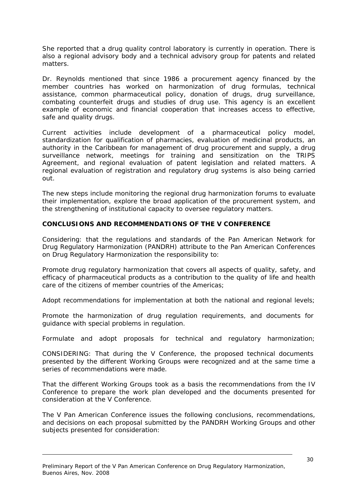She reported that a drug quality control laboratory is currently in operation. There is also a regional advisory body and a technical advisory group for patents and related matters.

Dr. Reynolds mentioned that since 1986 a procurement agency financed by the member countries has worked on harmonization of drug formulas, technical assistance, common pharmaceutical policy, donation of drugs, drug surveillance, combating counterfeit drugs and studies of drug use. This agency is an excellent example of economic and financial cooperation that increases access to effective, safe and quality drugs.

Current activities include development of a pharmaceutical policy model, standardization for qualification of pharmacies, evaluation of medicinal products, an authority in the Caribbean for management of drug procurement and supply, a drug surveillance network, meetings for training and sensitization on the TRIPS Agreement, and regional evaluation of patent legislation and related matters. A regional evaluation of registration and regulatory drug systems is also being carried out.

The new steps include monitoring the regional drug harmonization forums to evaluate their implementation, explore the broad application of the procurement system, and the strengthening of institutional capacity to oversee regulatory matters.

#### **CONCLUSIONS AND RECOMMENDATIONS OF THE V CONFERENCE**

Considering: that the regulations and standards of the Pan American Network for Drug Regulatory Harmonization (PANDRH) attribute to the Pan American Conferences on Drug Regulatory Harmonization the responsibility to:

Promote drug regulatory harmonization that covers all aspects of quality, safety, and efficacy of pharmaceutical products as a contribution to the quality of life and health care of the citizens of member countries of the Americas;

Adopt recommendations for implementation at both the national and regional levels;

Promote the harmonization of drug regulation requirements, and documents for guidance with special problems in regulation.

Formulate and adopt proposals for technical and regulatory harmonization;

CONSIDERING: That during the V Conference, the proposed technical documents presented by the different Working Groups were recognized and at the same time a series of recommendations were made.

That the different Working Groups took as a basis the recommendations from the IV Conference to prepare the work plan developed and the documents presented for consideration at the V Conference.

The V Pan American Conference issues the following conclusions, recommendations, and decisions on each proposal submitted by the PANDRH Working Groups and other subjects presented for consideration:

Preliminary Report of the V Pan American Conference on Drug Regulatory Harmonization, Buenos Aires, Nov. 2008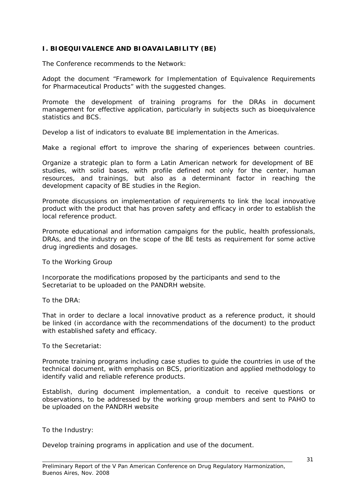# **I. BIOEQUIVALENCE AND BIOAVAILABILITY (BE)**

The Conference recommends to the Network:

Adopt the document "Framework for Implementation of Equivalence Requirements for Pharmaceutical Products" with the suggested changes.

Promote the development of training programs for the DRAs in document management for effective application, particularly in subjects such as bioequivalence statistics and BCS.

Develop a list of indicators to evaluate BE implementation in the Americas.

Make a regional effort to improve the sharing of experiences between countries.

Organize a strategic plan to form a Latin American network for development of BE studies, with solid bases, with profile defined not only for the center, human resources, and trainings, but also as a determinant factor in reaching the development capacity of BE studies in the Region.

Promote discussions on implementation of requirements to link the local innovative product with the product that has proven safety and efficacy in order to establish the local reference product.

Promote educational and information campaigns for the public, health professionals, DRAs, and the industry on the scope of the BE tests as requirement for some active drug ingredients and dosages.

To the Working Group

Incorporate the modifications proposed by the participants and send to the Secretariat to be uploaded on the PANDRH website.

To the DRA:

That in order to declare a local innovative product as a reference product, it should be linked (in accordance with the recommendations of the document) to the product with established safety and efficacy.

To the Secretariat:

Promote training programs including case studies to guide the countries in use of the technical document, with emphasis on BCS, prioritization and applied methodology to identify valid and reliable reference products.

Establish, during document implementation, a conduit to receive questions or observations, to be addressed by the working group members and sent to PAHO to be uploaded on the PANDRH website

To the Industry:

Develop training programs in application and use of the document.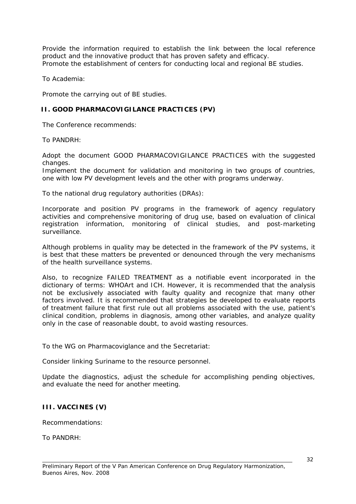Provide the information required to establish the link between the local reference product and the innovative product that has proven safety and efficacy. Promote the establishment of centers for conducting local and regional BE studies.

To Academia:

Promote the carrying out of BE studies.

## **II. GOOD PHARMACOVIGILANCE PRACTICES (PV)**

The Conference recommends:

To PANDRH:

Adopt the document GOOD PHARMACOVIGILANCE PRACTICES with the suggested changes.

Implement the document for validation and monitoring in two groups of countries, one with low PV development levels and the other with programs underway.

To the national drug regulatory authorities (DRAs):

Incorporate and position PV programs in the framework of agency regulatory activities and comprehensive monitoring of drug use, based on evaluation of clinical registration information, monitoring of clinical studies, and post-marketing surveillance.

Although problems in quality may be detected in the framework of the PV systems, it is best that these matters be prevented or denounced through the very mechanisms of the health surveillance systems.

Also, to recognize FAILED TREATMENT as a notifiable event incorporated in the dictionary of terms: WHOArt and ICH. However, it is recommended that the analysis not be exclusively associated with faulty quality and recognize that many other factors involved. It is recommended that strategies be developed to evaluate reports of treatment failure that first rule out all problems associated with the use, patient's clinical condition, problems in diagnosis, among other variables, and analyze quality only in the case of reasonable doubt, to avoid wasting resources.

To the WG on Pharmacoviglance and the Secretariat:

Consider linking Suriname to the resource personnel.

Update the diagnostics, adjust the schedule for accomplishing pending objectives, and evaluate the need for another meeting.

## **III. VACCINES (V)**

Recommendations:

To PANDRH: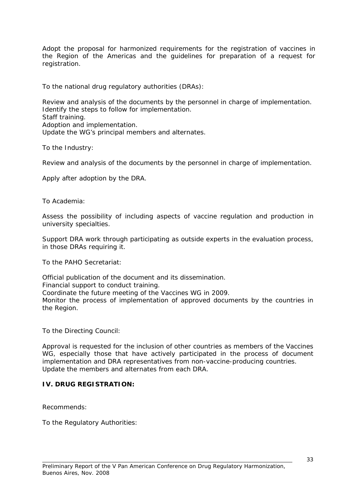Adopt the proposal for harmonized requirements for the registration of vaccines in the Region of the Americas and the guidelines for preparation of a request for registration.

To the national drug regulatory authorities (DRAs):

Review and analysis of the documents by the personnel in charge of implementation. Identify the steps to follow for implementation. Staff training. Adoption and implementation. Update the WG's principal members and alternates.

To the Industry:

Review and analysis of the documents by the personnel in charge of implementation.

Apply after adoption by the DRA.

To Academia:

Assess the possibility of including aspects of vaccine regulation and production in university specialties.

Support DRA work through participating as outside experts in the evaluation process, in those DRAs requiring it.

To the PAHO Secretariat:

Official publication of the document and its dissemination. Financial support to conduct training. Coordinate the future meeting of the Vaccines WG in 2009. Monitor the process of implementation of approved documents by the countries in the Region.

To the Directing Council:

Approval is requested for the inclusion of other countries as members of the Vaccines WG, especially those that have actively participated in the process of document implementation and DRA representatives from non-vaccine-producing countries. Update the members and alternates from each DRA.

## **IV. DRUG REGISTRATION:**

Recommends:

To the Regulatory Authorities: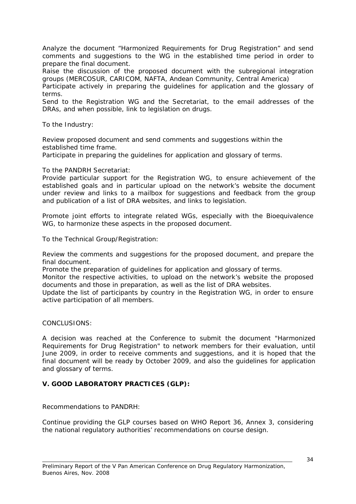Analyze the document "Harmonized Requirements for Drug Registration" and send comments and suggestions to the WG in the established time period in order to prepare the final document.

Raise the discussion of the proposed document with the subregional integration groups (MERCOSUR, CARICOM, NAFTA, Andean Community, Central America)

Participate actively in preparing the guidelines for application and the glossary of terms.

Send to the Registration WG and the Secretariat, to the email addresses of the DRAs, and when possible, link to legislation on drugs.

To the Industry:

Review proposed document and send comments and suggestions within the established time frame.

Participate in preparing the guidelines for application and glossary of terms.

To the PANDRH Secretariat:

Provide particular support for the Registration WG, to ensure achievement of the established goals and in particular upload on the network's website the document under review and links to a mailbox for suggestions and feedback from the group and publication of a list of DRA websites, and links to legislation.

Promote joint efforts to integrate related WGs, especially with the Bioequivalence WG, to harmonize these aspects in the proposed document.

To the Technical Group/Registration:

Review the comments and suggestions for the proposed document, and prepare the final document.

Promote the preparation of guidelines for application and glossary of terms.

Monitor the respective activities, to upload on the network's website the proposed documents and those in preparation, as well as the list of DRA websites.

Update the list of participants by country in the Registration WG, in order to ensure active participation of all members.

#### CONCLUSIONS:

A decision was reached at the Conference to submit the document "Harmonized Requirements for Drug Registration" to network members for their evaluation, until June 2009, in order to receive comments and suggestions, and it is hoped that the final document will be ready by October 2009, and also the guidelines for application and glossary of terms.

## **V. GOOD LABORATORY PRACTICES (GLP):**

Recommendations to PANDRH:

Continue providing the GLP courses based on WHO Report 36, Annex 3, considering the national regulatory authorities' recommendations on course design.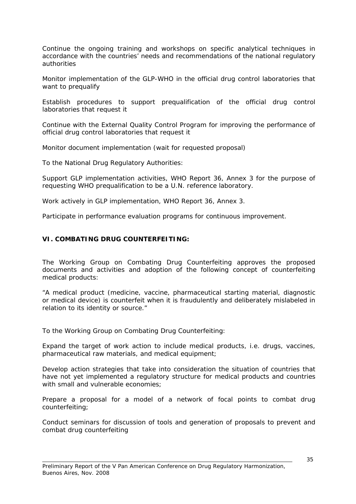Continue the ongoing training and workshops on specific analytical techniques in accordance with the countries' needs and recommendations of the national regulatory authorities

Monitor implementation of the GLP-WHO in the official drug control laboratories that want to prequalify

Establish procedures to support prequalification of the official drug control laboratories that request it

Continue with the External Quality Control Program for improving the performance of official drug control laboratories that request it

Monitor document implementation (wait for requested proposal)

To the National Drug Regulatory Authorities:

Support GLP implementation activities, WHO Report 36, Annex 3 for the purpose of requesting WHO prequalification to be a U.N. reference laboratory.

Work actively in GLP implementation, WHO Report 36, Annex 3.

Participate in performance evaluation programs for continuous improvement.

## **VI. COMBATING DRUG COUNTERFEITING:**

The Working Group on Combating Drug Counterfeiting approves the proposed documents and activities and adoption of the following concept of counterfeiting medical products:

"A medical product (medicine, vaccine, pharmaceutical starting material, diagnostic or medical device) is counterfeit when it is fraudulently and deliberately mislabeled in relation to its identity or source."

To the Working Group on Combating Drug Counterfeiting:

Expand the target of work action to include medical products, i.e. drugs, vaccines, pharmaceutical raw materials, and medical equipment;

Develop action strategies that take into consideration the situation of countries that have not yet implemented a regulatory structure for medical products and countries with small and vulnerable economies;

Prepare a proposal for a model of a network of focal points to combat drug counterfeiting;

Conduct seminars for discussion of tools and generation of proposals to prevent and combat drug counterfeiting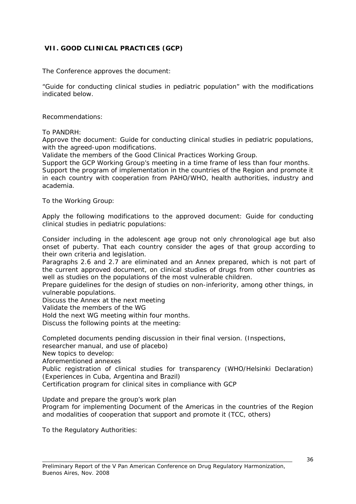# **VII. GOOD CLINICAL PRACTICES (GCP)**

The Conference approves the document:

"Guide for conducting clinical studies in pediatric population" with the modifications indicated below.

Recommendations:

To PANDRH:

academia.

Approve the document: Guide for conducting clinical studies in pediatric populations, with the agreed-upon modifications.

Validate the members of the Good Clinical Practices Working Group.

Support the GCP Working Group's meeting in a time frame of less than four months. Support the program of implementation in the countries of the Region and promote it in each country with cooperation from PAHO/WHO, health authorities, industry and

To the Working Group:

Apply the following modifications to the approved document: Guide for conducting clinical studies in pediatric populations:

Consider including in the adolescent age group not only chronological age but also onset of puberty. That each country consider the ages of that group according to their own criteria and legislation.

Paragraphs 2.6 and 2.7 are eliminated and an Annex prepared, which is not part of the current approved document, on clinical studies of drugs from other countries as well as studies on the populations of the most vulnerable children.

Prepare guidelines for the design of studies on non-inferiority, among other things, in vulnerable populations.

Discuss the Annex at the next meeting

Validate the members of the WG

Hold the next WG meeting within four months.

Discuss the following points at the meeting:

Completed documents pending discussion in their final version. (Inspections,

researcher manual, and use of placebo)

New topics to develop:

Aforementioned annexes

Public registration of clinical studies for transparency (WHO/Helsinki Declaration) (Experiences in Cuba, Argentina and Brazil)

Certification program for clinical sites in compliance with GCP

Update and prepare the group's work plan

Program for implementing Document of the Americas in the countries of the Region and modalities of cooperation that support and promote it (TCC, others)

To the Regulatory Authorities: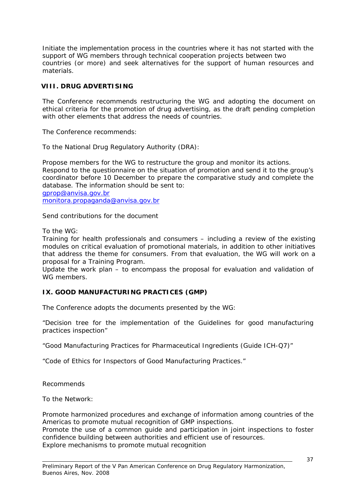Initiate the implementation process in the countries where it has not started with the support of WG members through technical cooperation projects between two countries (or more) and seek alternatives for the support of human resources and materials.

# **VIII. DRUG ADVERTISING**

The Conference recommends restructuring the WG and adopting the document on ethical criteria for the promotion of drug advertising, as the draft pending completion with other elements that address the needs of countries.

The Conference recommends:

To the National Drug Regulatory Authority (DRA):

Propose members for the WG to restructure the group and monitor its actions. Respond to the questionnaire on the situation of promotion and send it to the group's coordinator before 10 December to prepare the comparative study and complete the database. The information should be sent to: [gprop@anvisa.gov.br](mailto:gprop@anvisa.gov.br)

[monitora.propaganda@anvisa.gov.br](mailto:monitora.propaganda@anvisa.gov.br)

Send contributions for the document

To the WG:

Training for health professionals and consumers – including a review of the existing modules on critical evaluation of promotional materials, in addition to other initiatives that address the theme for consumers. From that evaluation, the WG will work on a proposal for a Training Program.

Update the work plan – to encompass the proposal for evaluation and validation of WG members.

## **IX. GOOD MANUFACTURING PRACTICES (GMP)**

The Conference adopts the documents presented by the WG:

"Decision tree for the implementation of the Guidelines for good manufacturing practices inspection"

"Good Manufacturing Practices for Pharmaceutical Ingredients (Guide ICH-Q7)"

"Code of Ethics for Inspectors of Good Manufacturing Practices."

Recommends

To the Network:

Promote harmonized procedures and exchange of information among countries of the Americas to promote mutual recognition of GMP inspections.

Promote the use of a common guide and participation in joint inspections to foster confidence building between authorities and efficient use of resources. Explore mechanisms to promote mutual recognition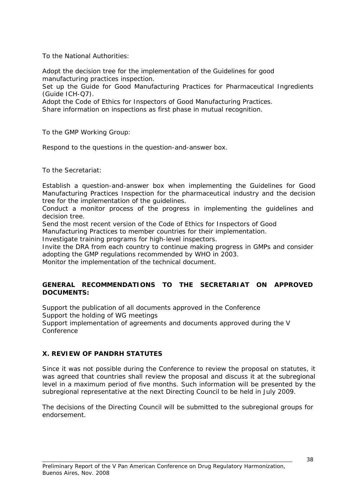To the National Authorities:

Adopt the decision tree for the implementation of the Guidelines for good manufacturing practices inspection.

Set up the Guide for Good Manufacturing Practices for Pharmaceutical Ingredients (Guide ICH-Q7).

Adopt the Code of Ethics for Inspectors of Good Manufacturing Practices.

Share information on inspections as first phase in mutual recognition.

To the GMP Working Group:

Respond to the questions in the question-and-answer box.

To the Secretariat:

Establish a question-and-answer box when implementing the Guidelines for Good Manufacturing Practices Inspection for the pharmaceutical industry and the decision tree for the implementation of the guidelines.

Conduct a monitor process of the progress in implementing the guidelines and decision tree.

Send the most recent version of the Code of Ethics for Inspectors of Good

Manufacturing Practices to member countries for their implementation.

Investigate training programs for high-level inspectors.

Invite the DRA from each country to continue making progress in GMPs and consider adopting the GMP regulations recommended by WHO in 2003.

Monitor the implementation of the technical document.

#### **GENERAL RECOMMENDATIONS TO THE SECRETARIAT ON APPROVED DOCUMENTS:**

Support the publication of all documents approved in the Conference Support the holding of WG meetings Support implementation of agreements and documents approved during the V Conference

**X. REVIEW OF PANDRH STATUTES**

Since it was not possible during the Conference to review the proposal on statutes, it was agreed that countries shall review the proposal and discuss it at the subregional level in a maximum period of five months. Such information will be presented by the subregional representative at the next Directing Council to be held in July 2009.

The decisions of the Directing Council will be submitted to the subregional groups for endorsement.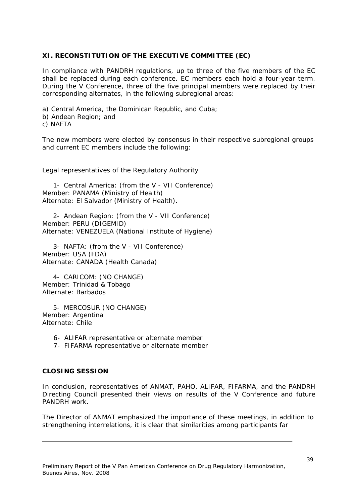## **XI. RECONSTITUTION OF THE EXECUTIVE COMMITTEE (EC)**

In compliance with PANDRH regulations, up to three of the five members of the EC shall be replaced during each conference. EC members each hold a four-year term. During the V Conference, three of the five principal members were replaced by their corresponding alternates, in the following subregional areas:

a) Central America, the Dominican Republic, and Cuba; b) Andean Region; and

c) NAFTA

The new members were elected by consensus in their respective subregional groups and current EC members include the following:

Legal representatives of the Regulatory Authority

1- Central America: (from the V - VII Conference) Member: PANAMA (Ministry of Health) Alternate: El Salvador (Ministry of Health).

2- Andean Region: (from the V - VII Conference) Member: PERU (DIGEMID) Alternate: VENEZUELA (National Institute of Hygiene)

3- NAFTA: (from the V - VII Conference) Member: USA (FDA) Alternate: CANADA (Health Canada)

4- CARICOM: (NO CHANGE) Member: Trinidad & Tobago Alternate: Barbados

5- MERCOSUR (NO CHANGE) Member: Argentina Alternate: Chile

- 6- ALIFAR representative or alternate member
- 7- FIFARMA representative or alternate member

## **CLOSING SESSION**

In conclusion, representatives of ANMAT, PAHO, ALIFAR, FIFARMA, and the PANDRH Directing Council presented their views on results of the V Conference and future PANDRH work.

The Director of ANMAT emphasized the importance of these meetings, in addition to strengthening interrelations, it is clear that similarities among participants far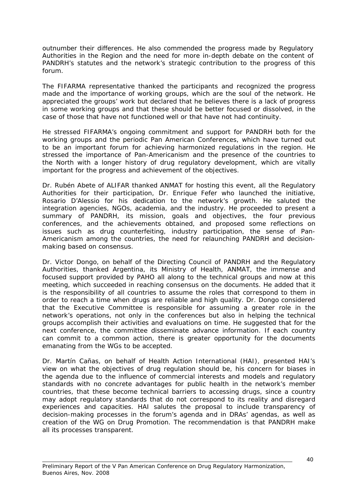outnumber their differences. He also commended the progress made by Regulatory Authorities in the Region and the need for more in-depth debate on the content of PANDRH's statutes and the network's strategic contribution to the progress of this forum.

The FIFARMA representative thanked the participants and recognized the progress made and the importance of working groups, which are the soul of the network. He appreciated the groups' work but declared that he believes there is a lack of progress in some working groups and that these should be better focused or dissolved, in the case of those that have not functioned well or that have not had continuity.

He stressed FIFARMA's ongoing commitment and support for PANDRH both for the working groups and the periodic Pan American Conferences, which have turned out to be an important forum for achieving harmonized regulations in the region. He stressed the importance of Pan-Americanism and the presence of the countries to the North with a longer history of drug regulatory development, which are vitally important for the progress and achievement of the objectives.

Dr. Rubén Abete of ALIFAR thanked ANMAT for hosting this event, all the Regulatory Authorities for their participation, Dr. Enrique Fefer who launched the initiative, Rosario D'Alessio for his dedication to the network's growth. He saluted the integration agencies, NGOs, academia, and the industry. He proceeded to present a summary of PANDRH, its mission, goals and objectives, the four previous conferences, and the achievements obtained, and proposed some reflections on issues such as drug counterfeiting, industry participation, the sense of Pan-Americanism among the countries, the need for relaunching PANDRH and decisionmaking based on consensus.

Dr. Victor Dongo, on behalf of the Directing Council of PANDRH and the Regulatory Authorities, thanked Argentina, its Ministry of Health, ANMAT, the immense and focused support provided by PAHO all along to the technical groups and now at this meeting, which succeeded in reaching consensus on the documents. He added that it is the responsibility of all countries to assume the roles that correspond to them in order to reach a time when drugs are reliable and high quality. Dr. Dongo considered that the Executive Committee is responsible for assuming a greater role in the network's operations, not only in the conferences but also in helping the technical groups accomplish their activities and evaluations on time. He suggested that for the next conference, the committee disseminate advance information. If each country can commit to a common action, there is greater opportunity for the documents emanating from the WGs to be accepted.

Dr. Martín Cañas, on behalf of Health Action International (HAI), presented HAI's view on what the objectives of drug regulation should be, his concern for biases in the agenda due to the influence of commercial interests and models and regulatory standards with no concrete advantages for public health in the network's member countries, that these become technical barriers to accessing drugs, since a country may adopt regulatory standards that do not correspond to its reality and disregard experiences and capacities. HAI salutes the proposal to include transparency of decision-making processes in the forum's agenda and in DRAs' agendas, as well as creation of the WG on Drug Promotion. The recommendation is that PANDRH make all its processes transparent.